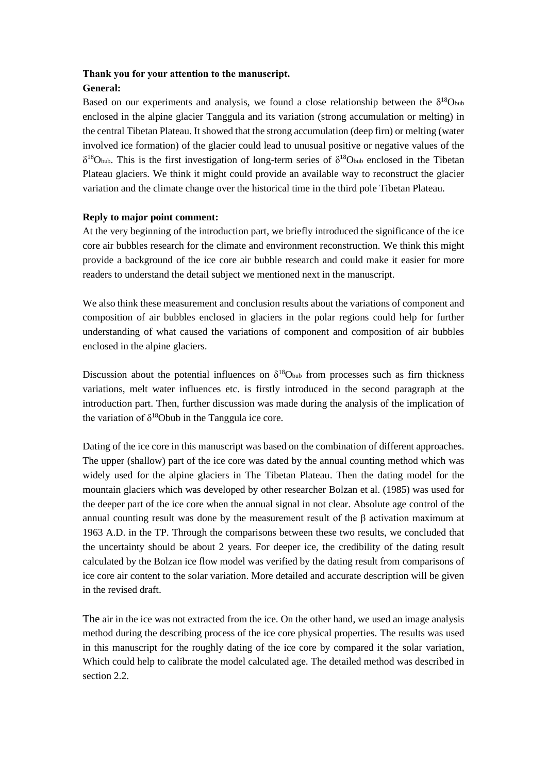# **Thank you for your attention to the manuscript. General:**

Based on our experiments and analysis, we found a close relationship between the  $\delta^{18}$ Obub enclosed in the alpine glacier Tanggula and its variation (strong accumulation or melting) in the central Tibetan Plateau. It showed that the strong accumulation (deep firn) or melting (water involved ice formation) of the glacier could lead to unusual positive or negative values of the  $\delta^{18}$ Obub. This is the first investigation of long-term series of  $\delta^{18}$ Obub enclosed in the Tibetan Plateau glaciers. We think it might could provide an available way to reconstruct the glacier variation and the climate change over the historical time in the third pole Tibetan Plateau.

## **Reply to major point comment:**

At the very beginning of the introduction part, we briefly introduced the significance of the ice core air bubbles research for the climate and environment reconstruction. We think this might provide a background of the ice core air bubble research and could make it easier for more readers to understand the detail subject we mentioned next in the manuscript.

We also think these measurement and conclusion results about the variations of component and composition of air bubbles enclosed in glaciers in the polar regions could help for further understanding of what caused the variations of component and composition of air bubbles enclosed in the alpine glaciers.

Discussion about the potential influences on  $\delta^{18}$ Obub from processes such as firn thickness variations, melt water influences etc. is firstly introduced in the second paragraph at the introduction part. Then, further discussion was made during the analysis of the implication of the variation of  $\delta^{18}$ Obub in the Tanggula ice core.

Dating of the ice core in this manuscript was based on the combination of different approaches. The upper (shallow) part of the ice core was dated by the annual counting method which was widely used for the alpine glaciers in The Tibetan Plateau. Then the dating model for the mountain glaciers which was developed by other researcher Bolzan et al. (1985) was used for the deeper part of the ice core when the annual signal in not clear. Absolute age control of the annual counting result was done by the measurement result of the β activation maximum at 1963 A.D. in the TP. Through the comparisons between these two results, we concluded that the uncertainty should be about 2 years. For deeper ice, the credibility of the dating result calculated by the Bolzan ice flow model was verified by the dating result from comparisons of ice core air content to the solar variation. More detailed and accurate description will be given in the revised draft.

The air in the ice was not extracted from the ice. On the other hand, we used an image analysis method during the describing process of the ice core physical properties. The results was used in this manuscript for the roughly dating of the ice core by compared it the solar variation, Which could help to calibrate the model calculated age. The detailed method was described in section 2.2.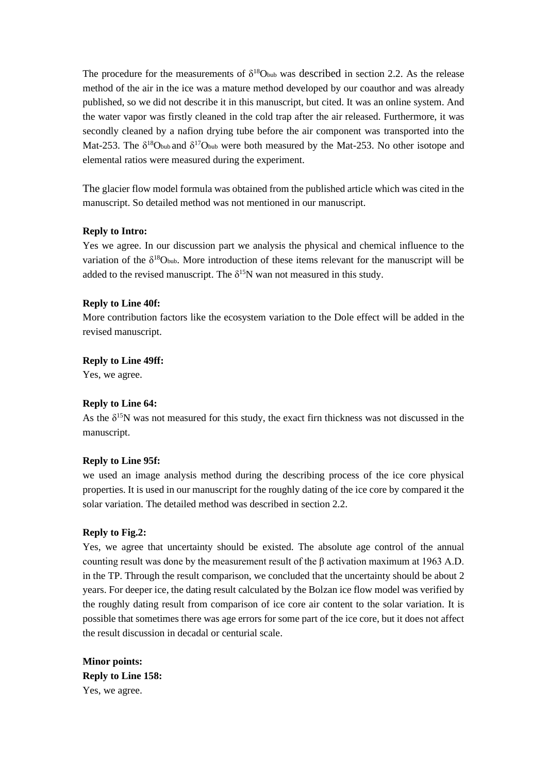The procedure for the measurements of  $\delta^{18}$ Obub was described in section 2.2. As the release method of the air in the ice was a mature method developed by our coauthor and was already published, so we did not describe it in this manuscript, but cited. It was an online system. And the water vapor was firstly cleaned in the cold trap after the air released. Furthermore, it was secondly cleaned by a nafion drying tube before the air component was transported into the Mat-253. The  $\delta^{18}$ Obub and  $\delta^{17}$ Obub were both measured by the Mat-253. No other isotope and elemental ratios were measured during the experiment.

The glacier flow model formula was obtained from the published article which was cited in the manuscript. So detailed method was not mentioned in our manuscript.

#### **Reply to Intro:**

Yes we agree. In our discussion part we analysis the physical and chemical influence to the variation of the  $\delta^{18}$ Obub. More introduction of these items relevant for the manuscript will be added to the revised manuscript. The  $\delta^{15}N$  wan not measured in this study.

#### **Reply to Line 40f:**

More contribution factors like the ecosystem variation to the Dole effect will be added in the revised manuscript.

#### **Reply to Line 49ff:**

Yes, we agree.

#### **Reply to Line 64:**

As the  $\delta^{15}$ N was not measured for this study, the exact firn thickness was not discussed in the manuscript.

#### **Reply to Line 95f:**

we used an image analysis method during the describing process of the ice core physical properties. It is used in our manuscript for the roughly dating of the ice core by compared it the solar variation. The detailed method was described in section 2.2.

#### **Reply to Fig.2:**

Yes, we agree that uncertainty should be existed. The absolute age control of the annual counting result was done by the measurement result of the β activation maximum at 1963 A.D. in the TP. Through the result comparison, we concluded that the uncertainty should be about 2 years. For deeper ice, the dating result calculated by the Bolzan ice flow model was verified by the roughly dating result from comparison of ice core air content to the solar variation. It is possible that sometimes there was age errors for some part of the ice core, but it does not affect the result discussion in decadal or centurial scale.

**Minor points: Reply to Line 158:**  Yes, we agree.